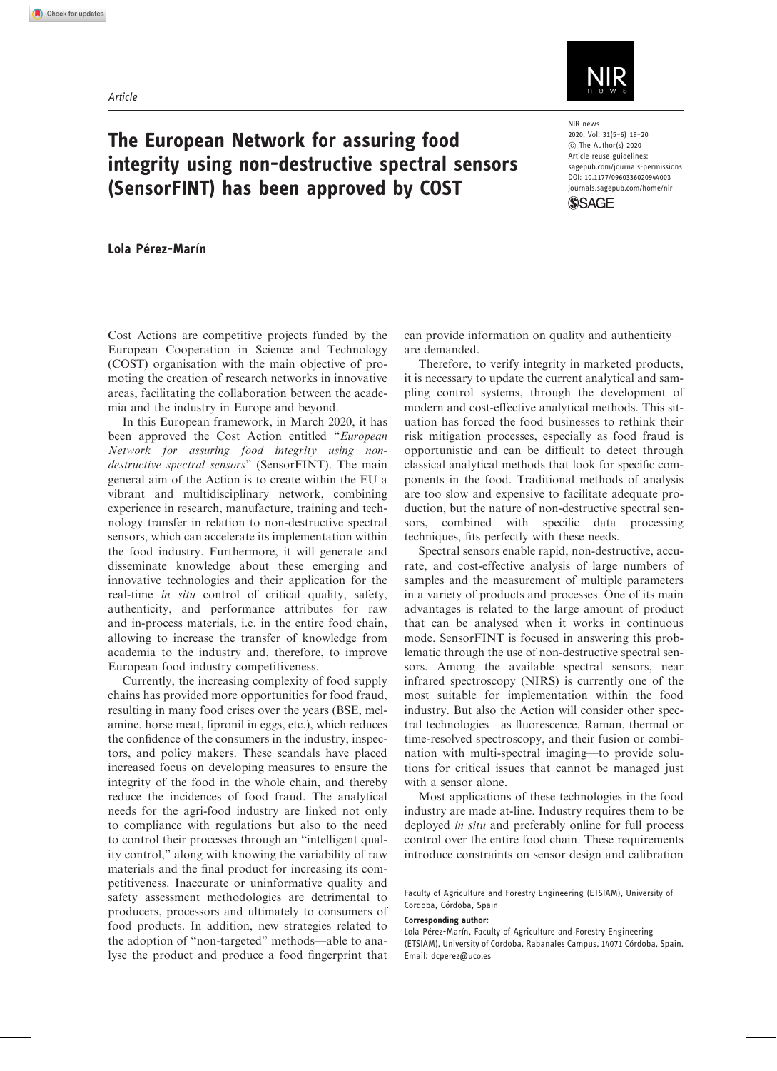

## The European Network for assuring food integrity using non-destructive spectral sensors (SensorFINT) has been approved by COST

NIR news 2020, Vol. 31(5–6) 19–20 ! The Author(s) 2020 Article reuse guidelines: [sagepub.com/journals-permissions](http://uk.sagepub.com/en-gb/journals-permissions) [DOI: 10.1177/0960336020944003](http://dx.doi.org/10.1177/0960336020944003) <journals.sagepub.com/home/nir>**SSAGE** 

Lola Pérez-Marín

Cost Actions are competitive projects funded by the European Cooperation in Science and Technology (COST) organisation with the main objective of promoting the creation of research networks in innovative areas, facilitating the collaboration between the academia and the industry in Europe and beyond.

In this European framework, in March 2020, it has been approved the Cost Action entitled "European Network for assuring food integrity using nondestructive spectral sensors" (SensorFINT). The main general aim of the Action is to create within the EU a vibrant and multidisciplinary network, combining experience in research, manufacture, training and technology transfer in relation to non-destructive spectral sensors, which can accelerate its implementation within the food industry. Furthermore, it will generate and disseminate knowledge about these emerging and innovative technologies and their application for the real-time in situ control of critical quality, safety, authenticity, and performance attributes for raw and in-process materials, i.e. in the entire food chain, allowing to increase the transfer of knowledge from academia to the industry and, therefore, to improve European food industry competitiveness.

Currently, the increasing complexity of food supply chains has provided more opportunities for food fraud, resulting in many food crises over the years (BSE, melamine, horse meat, fipronil in eggs, etc.), which reduces the confidence of the consumers in the industry, inspectors, and policy makers. These scandals have placed increased focus on developing measures to ensure the integrity of the food in the whole chain, and thereby reduce the incidences of food fraud. The analytical needs for the agri-food industry are linked not only to compliance with regulations but also to the need to control their processes through an "intelligent quality control," along with knowing the variability of raw materials and the final product for increasing its competitiveness. Inaccurate or uninformative quality and safety assessment methodologies are detrimental to producers, processors and ultimately to consumers of food products. In addition, new strategies related to the adoption of "non-targeted" methods—able to analyse the product and produce a food fingerprint that can provide information on quality and authenticity are demanded.

Therefore, to verify integrity in marketed products, it is necessary to update the current analytical and sampling control systems, through the development of modern and cost-effective analytical methods. This situation has forced the food businesses to rethink their risk mitigation processes, especially as food fraud is opportunistic and can be difficult to detect through classical analytical methods that look for specific components in the food. Traditional methods of analysis are too slow and expensive to facilitate adequate production, but the nature of non-destructive spectral sensors, combined with specific data processing techniques, fits perfectly with these needs.

Spectral sensors enable rapid, non-destructive, accurate, and cost-effective analysis of large numbers of samples and the measurement of multiple parameters in a variety of products and processes. One of its main advantages is related to the large amount of product that can be analysed when it works in continuous mode. SensorFINT is focused in answering this problematic through the use of non-destructive spectral sensors. Among the available spectral sensors, near infrared spectroscopy (NIRS) is currently one of the most suitable for implementation within the food industry. But also the Action will consider other spectral technologies—as fluorescence, Raman, thermal or time-resolved spectroscopy, and their fusion or combination with multi-spectral imaging—to provide solutions for critical issues that cannot be managed just with a sensor alone.

Most applications of these technologies in the food industry are made at-line. Industry requires them to be deployed in situ and preferably online for full process control over the entire food chain. These requirements introduce constraints on sensor design and calibration

Corresponding author:

Faculty of Agriculture and Forestry Engineering (ETSIAM), University of Cordoba, Córdoba, Spain

Lola Pérez-Marín, Faculty of Agriculture and Forestry Engineering (ETSIAM), University of Cordoba, Rabanales Campus, 14071 Córdoba, Spain. Email: [dcperez@uco.es](mailto:dcperez@uco.es)